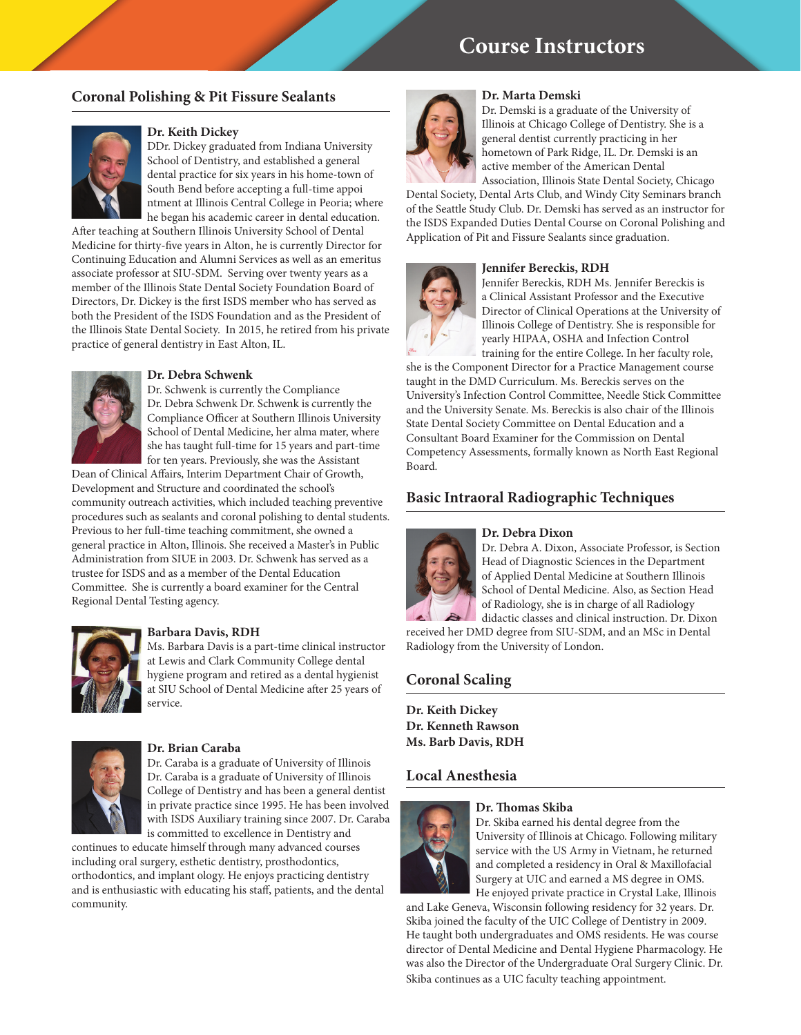# **Course Instructors**

## **Coronal Polishing & Pit Fissure Sealants**



### **Dr. Keith Dickey**

DDr. Dickey graduated from Indiana University School of Dentistry, and established a general dental practice for six years in his home-town of South Bend before accepting a full-time appoi ntment at Illinois Central College in Peoria; where he began his academic career in dental education.

After teaching at Southern Illinois University School of Dental Medicine for thirty-five years in Alton, he is currently Director for Continuing Education and Alumni Services as well as an emeritus associate professor at SIU-SDM. Serving over twenty years as a member of the Illinois State Dental Society Foundation Board of Directors, Dr. Dickey is the first ISDS member who has served as both the President of the ISDS Foundation and as the President of the Illinois State Dental Society. In 2015, he retired from his private practice of general dentistry in East Alton, IL.



#### **Dr. Debra Schwenk**

Dr. Schwenk is currently the Compliance Dr. Debra Schwenk Dr. Schwenk is currently the Compliance Officer at Southern Illinois University School of Dental Medicine, her alma mater, where she has taught full-time for 15 years and part-time for ten years. Previously, she was the Assistant

Dean of Clinical Affairs, Interim Department Chair of Growth, Development and Structure and coordinated the school's community outreach activities, which included teaching preventive procedures such as sealants and coronal polishing to dental students. Previous to her full-time teaching commitment, she owned a general practice in Alton, Illinois. She received a Master's in Public Administration from SIUE in 2003. Dr. Schwenk has served as a trustee for ISDS and as a member of the Dental Education Committee. She is currently a board examiner for the Central Regional Dental Testing agency.



### **Barbara Davis, RDH**

Ms. Barbara Davis is a part-time clinical instructor at Lewis and Clark Community College dental hygiene program and retired as a dental hygienist at SIU School of Dental Medicine after 25 years of service.



#### **Dr. Brian Caraba**

Dr. Caraba is a graduate of University of Illinois Dr. Caraba is a graduate of University of Illinois College of Dentistry and has been a general dentist in private practice since 1995. He has been involved with ISDS Auxiliary training since 2007. Dr. Caraba is committed to excellence in Dentistry and

continues to educate himself through many advanced courses including oral surgery, esthetic dentistry, prosthodontics, orthodontics, and implant ology. He enjoys practicing dentistry and is enthusiastic with educating his staff, patients, and the dental community.



### **Dr. Marta Demski**

Dr. Demski is a graduate of the University of Illinois at Chicago College of Dentistry. She is a general dentist currently practicing in her hometown of Park Ridge, IL. Dr. Demski is an active member of the American Dental

Association, Illinois State Dental Society, Chicago Dental Society, Dental Arts Club, and Windy City Seminars branch of the Seattle Study Club. Dr. Demski has served as an instructor for the ISDS Expanded Duties Dental Course on Coronal Polishing and Application of Pit and Fissure Sealants since graduation.

### **Jennifer Bereckis, RDH**



Jennifer Bereckis, RDH Ms. Jennifer Bereckis is a Clinical Assistant Professor and the Executive Director of Clinical Operations at the University of Illinois College of Dentistry. She is responsible for yearly HIPAA, OSHA and Infection Control training for the entire College. In her faculty role,

she is the Component Director for a Practice Management course taught in the DMD Curriculum. Ms. Bereckis serves on the University's Infection Control Committee, Needle Stick Committee and the University Senate. Ms. Bereckis is also chair of the Illinois State Dental Society Committee on Dental Education and a Consultant Board Examiner for the Commission on Dental Competency Assessments, formally known as North East Regional Board.

## **Basic Intraoral Radiographic Techniques**

#### **Dr. Debra Dixon**



Dr. Debra A. Dixon, Associate Professor, is Section Head of Diagnostic Sciences in the Department of Applied Dental Medicine at Southern Illinois School of Dental Medicine. Also, as Section Head of Radiology, she is in charge of all Radiology didactic classes and clinical instruction. Dr. Dixon

received her DMD degree from SIU-SDM, and an MSc in Dental Radiology from the University of London.

## **Coronal Scaling**

**Dr. Keith Dickey Dr. Kenneth Rawson Ms. Barb Davis, RDH** 

## **Local Anesthesia**



## **Dr. Thomas Skiba**

Dr. Skiba earned his dental degree from the University of Illinois at Chicago. Following military service with the US Army in Vietnam, he returned and completed a residency in Oral & Maxillofacial Surgery at UIC and earned a MS degree in OMS. He enjoyed private practice in Crystal Lake, Illinois

and Lake Geneva, Wisconsin following residency for 32 years. Dr. Skiba joined the faculty of the UIC College of Dentistry in 2009. He taught both undergraduates and OMS residents. He was course director of Dental Medicine and Dental Hygiene Pharmacology. He was also the Director of the Undergraduate Oral Surgery Clinic. Dr. Skiba continues as a UIC faculty teaching appointment.